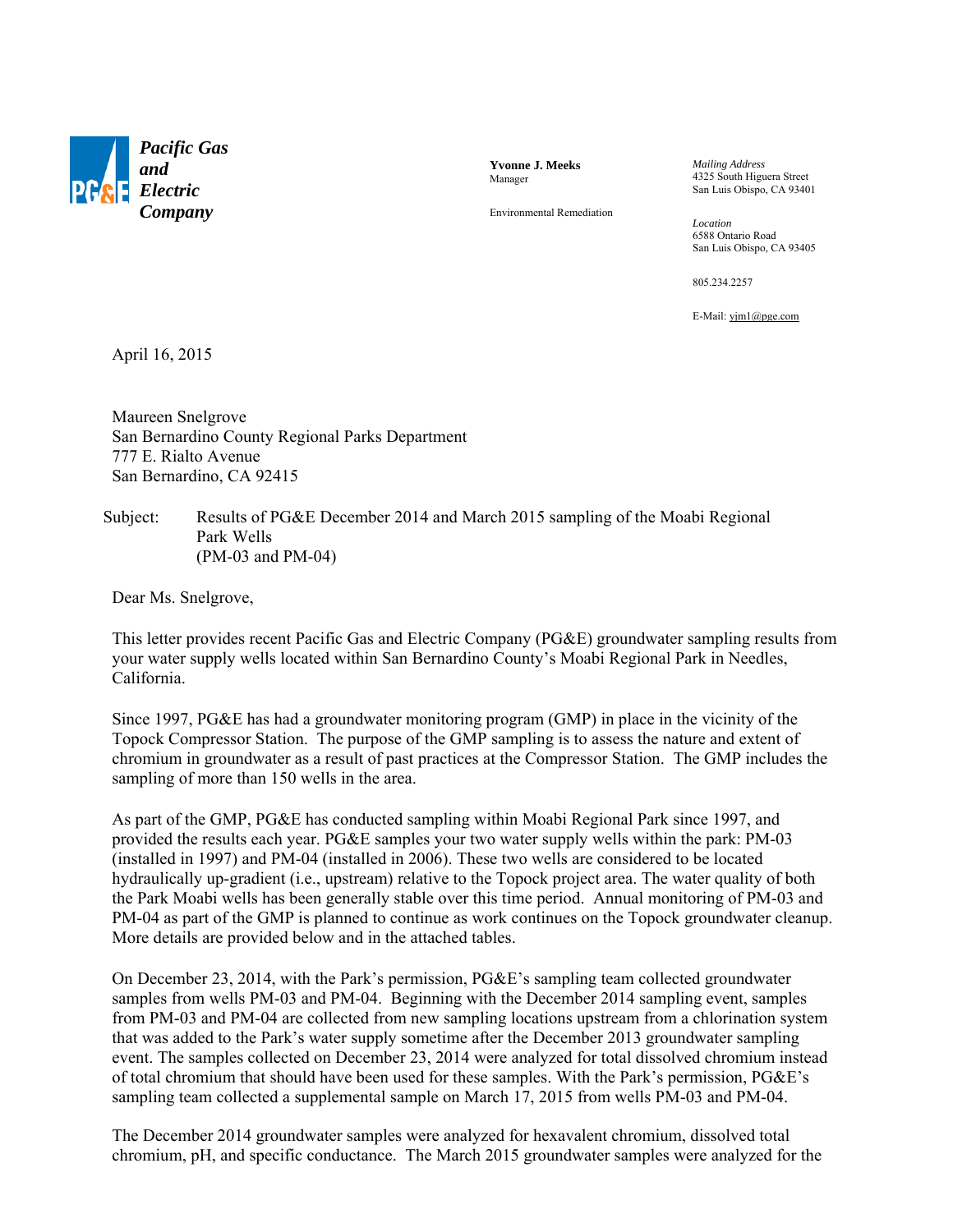

**Yvonne J. Meeks** Manager

*Mailing Address* 4325 South Higuera Street San Luis Obispo, CA 93401

Environmental Remediation

*Location* 6588 Ontario Road San Luis Obispo, CA 93405

805.234.2257

E-Mail: yjm1@pge.com

April 16, 2015

Maureen Snelgrove San Bernardino County Regional Parks Department 777 E. Rialto Avenue San Bernardino, CA 92415

Subject: Results of PG&E December 2014 and March 2015 sampling of the Moabi Regional Park Wells (PM-03 and PM-04)

Dear Ms. Snelgrove,

This letter provides recent Pacific Gas and Electric Company (PG&E) groundwater sampling results from your water supply wells located within San Bernardino County's Moabi Regional Park in Needles, California.

Since 1997, PG&E has had a groundwater monitoring program (GMP) in place in the vicinity of the Topock Compressor Station. The purpose of the GMP sampling is to assess the nature and extent of chromium in groundwater as a result of past practices at the Compressor Station. The GMP includes the sampling of more than 150 wells in the area.

As part of the GMP, PG&E has conducted sampling within Moabi Regional Park since 1997, and provided the results each year. PG&E samples your two water supply wells within the park: PM-03 (installed in 1997) and PM-04 (installed in 2006). These two wells are considered to be located hydraulically up-gradient (i.e., upstream) relative to the Topock project area. The water quality of both the Park Moabi wells has been generally stable over this time period. Annual monitoring of PM-03 and PM-04 as part of the GMP is planned to continue as work continues on the Topock groundwater cleanup. More details are provided below and in the attached tables.

On December 23, 2014, with the Park's permission, PG&E's sampling team collected groundwater samples from wells PM-03 and PM-04. Beginning with the December 2014 sampling event, samples from PM-03 and PM-04 are collected from new sampling locations upstream from a chlorination system that was added to the Park's water supply sometime after the December 2013 groundwater sampling event. The samples collected on December 23, 2014 were analyzed for total dissolved chromium instead of total chromium that should have been used for these samples. With the Park's permission, PG&E's sampling team collected a supplemental sample on March 17, 2015 from wells PM-03 and PM-04.

The December 2014 groundwater samples were analyzed for hexavalent chromium, dissolved total chromium, pH, and specific conductance. The March 2015 groundwater samples were analyzed for the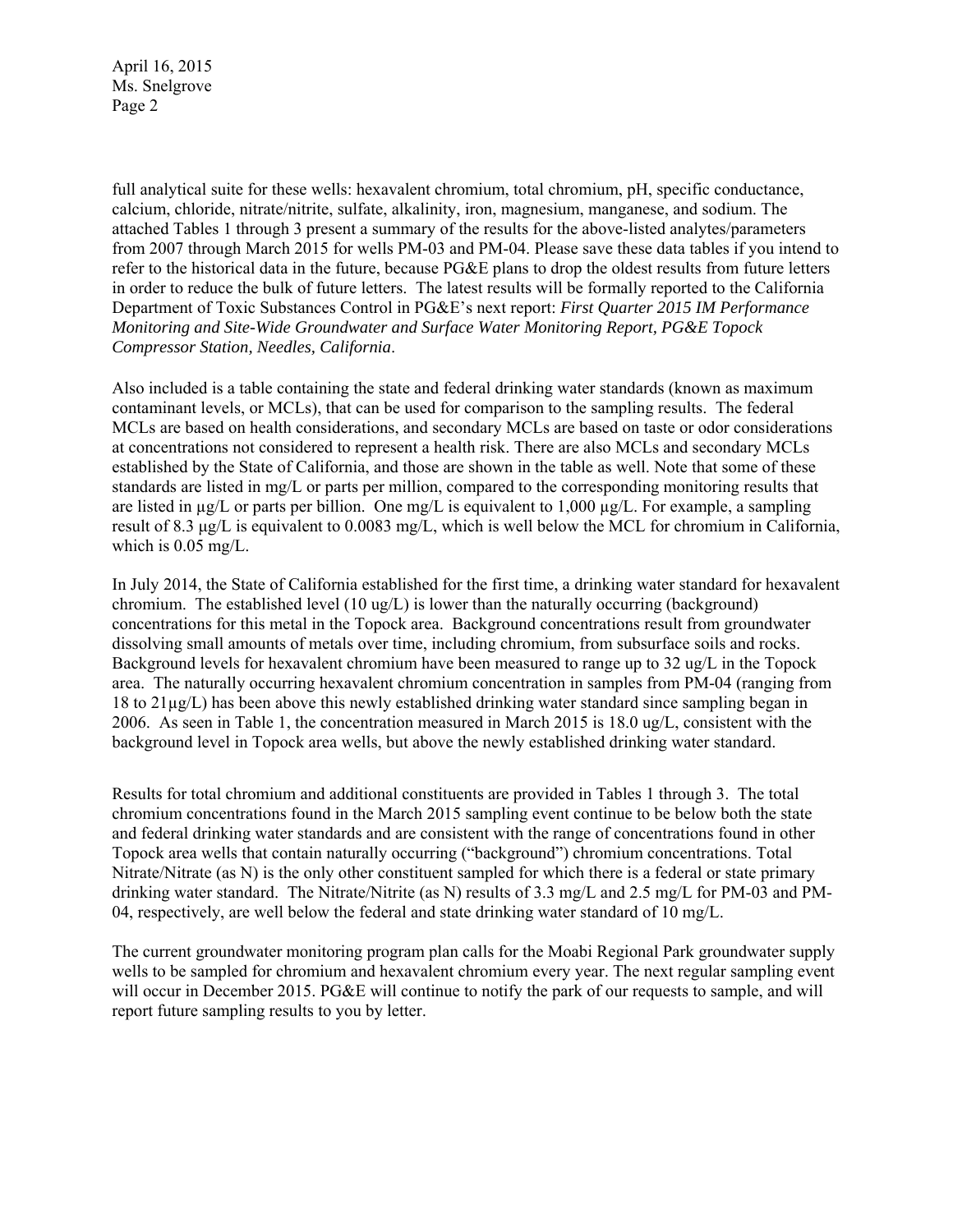April 16, 2015 Ms. Snelgrove Page 2

full analytical suite for these wells: hexavalent chromium, total chromium, pH, specific conductance, calcium, chloride, nitrate/nitrite, sulfate, alkalinity, iron, magnesium, manganese, and sodium. The attached Tables 1 through 3 present a summary of the results for the above-listed analytes/parameters from 2007 through March 2015 for wells PM-03 and PM-04. Please save these data tables if you intend to refer to the historical data in the future, because PG&E plans to drop the oldest results from future letters in order to reduce the bulk of future letters. The latest results will be formally reported to the California Department of Toxic Substances Control in PG&E's next report: *First Quarter 2015 IM Performance Monitoring and Site-Wide Groundwater and Surface Water Monitoring Report, PG&E Topock Compressor Station, Needles, California*.

Also included is a table containing the state and federal drinking water standards (known as maximum contaminant levels, or MCLs), that can be used for comparison to the sampling results. The federal MCLs are based on health considerations, and secondary MCLs are based on taste or odor considerations at concentrations not considered to represent a health risk. There are also MCLs and secondary MCLs established by the State of California, and those are shown in the table as well. Note that some of these standards are listed in mg/L or parts per million, compared to the corresponding monitoring results that are listed in  $\mu$ g/L or parts per billion. One mg/L is equivalent to 1,000  $\mu$ g/L. For example, a sampling result of 8.3 μg/L is equivalent to 0.0083 mg/L, which is well below the MCL for chromium in California, which is 0.05 mg/L.

In July 2014, the State of California established for the first time, a drinking water standard for hexavalent chromium. The established level  $(10 \text{ ug/L})$  is lower than the naturally occurring (background) concentrations for this metal in the Topock area. Background concentrations result from groundwater dissolving small amounts of metals over time, including chromium, from subsurface soils and rocks. Background levels for hexavalent chromium have been measured to range up to 32 ug/L in the Topock area. The naturally occurring hexavalent chromium concentration in samples from PM-04 (ranging from 18 to 21µg/L) has been above this newly established drinking water standard since sampling began in 2006. As seen in Table 1, the concentration measured in March 2015 is 18.0 ug/L, consistent with the background level in Topock area wells, but above the newly established drinking water standard.

Results for total chromium and additional constituents are provided in Tables 1 through 3. The total chromium concentrations found in the March 2015 sampling event continue to be below both the state and federal drinking water standards and are consistent with the range of concentrations found in other Topock area wells that contain naturally occurring ("background") chromium concentrations. Total Nitrate/Nitrate (as N) is the only other constituent sampled for which there is a federal or state primary drinking water standard. The Nitrate/Nitrite (as N) results of 3.3 mg/L and 2.5 mg/L for PM-03 and PM-04, respectively, are well below the federal and state drinking water standard of 10 mg/L.

The current groundwater monitoring program plan calls for the Moabi Regional Park groundwater supply wells to be sampled for chromium and hexavalent chromium every year. The next regular sampling event will occur in December 2015. PG&E will continue to notify the park of our requests to sample, and will report future sampling results to you by letter.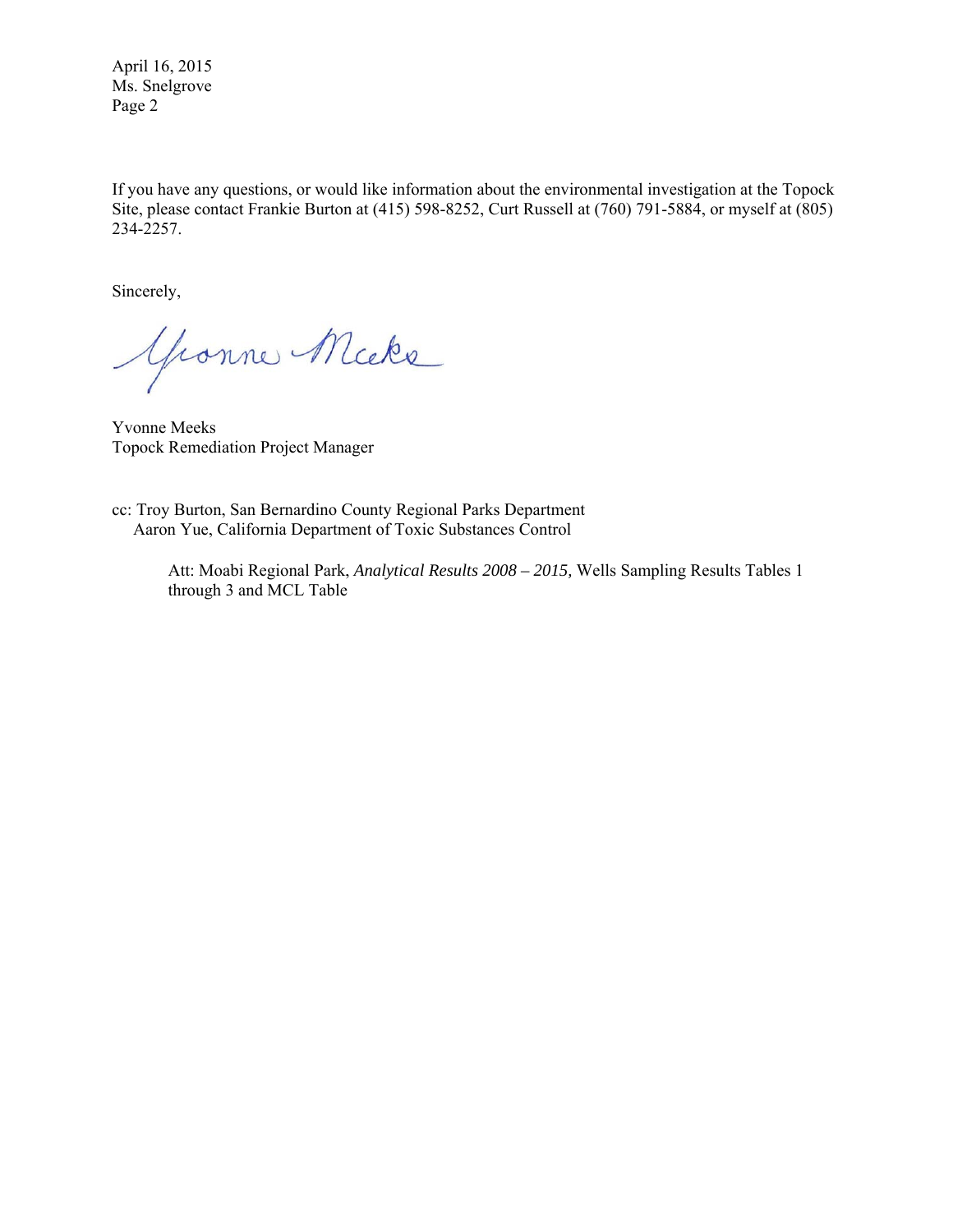April 16, 2015 Ms. Snelgrove Page 2

If you have any questions, or would like information about the environmental investigation at the Topock Site, please contact Frankie Burton at (415) 598-8252, Curt Russell at (760) 791-5884, or myself at (805) 234-2257.

Sincerely,

Gronne Micke

Yvonne Meeks Topock Remediation Project Manager

cc: Troy Burton, San Bernardino County Regional Parks Department Aaron Yue, California Department of Toxic Substances Control

> Att: Moabi Regional Park, *Analytical Results 2008 – 2015,* Wells Sampling Results Tables 1 through 3 and MCL Table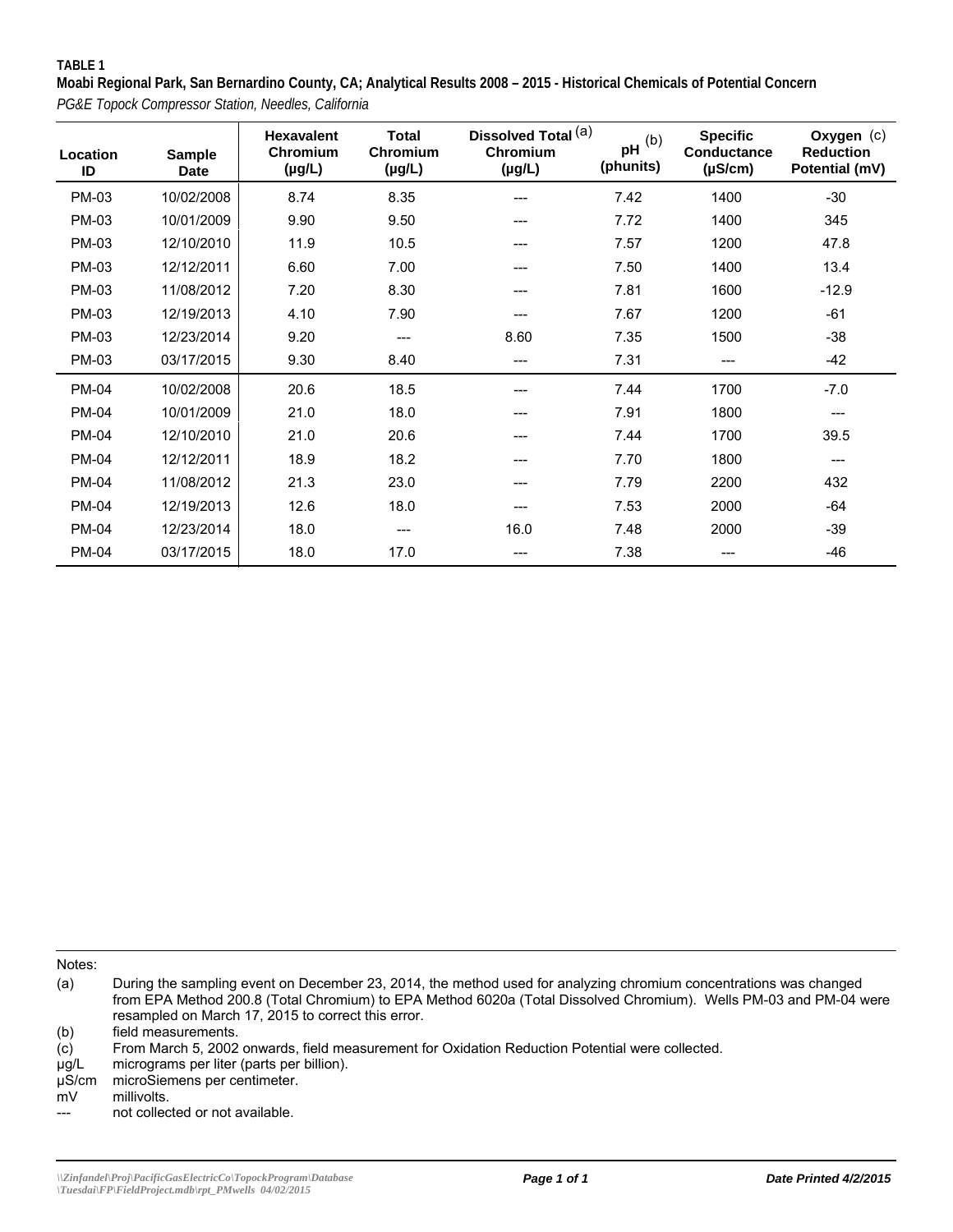**TABLE 1**

**Moabi Regional Park, San Bernardino County, CA; Analytical Results 2008 – 2015 - Historical Chemicals of Potential Concern** *PG&E Topock Compressor Station, Needles, California*

| Location<br>ID | <b>Sample</b><br><b>Date</b> | <b>Hexavalent</b><br>Chromium<br>$(\mu g/L)$ | <b>Total</b><br>Chromium<br>$(\mu g/L)$ | Dissolved Total (a)<br>Chromium<br>$(\mu g/L)$ | $pH^{(b)}$<br>(phunits) | <b>Specific</b><br><b>Conductance</b><br>$(\mu S/cm)$ | Oxygen (c)<br><b>Reduction</b><br>Potential (mV) |
|----------------|------------------------------|----------------------------------------------|-----------------------------------------|------------------------------------------------|-------------------------|-------------------------------------------------------|--------------------------------------------------|
| <b>PM-03</b>   | 10/02/2008                   | 8.74                                         | 8.35                                    | ---                                            | 7.42                    | 1400                                                  | -30                                              |
| <b>PM-03</b>   | 10/01/2009                   | 9.90                                         | 9.50                                    | ---                                            | 7.72                    | 1400                                                  | 345                                              |
| PM-03          | 12/10/2010                   | 11.9                                         | 10.5                                    | ---                                            | 7.57                    | 1200                                                  | 47.8                                             |
| <b>PM-03</b>   | 12/12/2011                   | 6.60                                         | 7.00                                    | ---                                            | 7.50                    | 1400                                                  | 13.4                                             |
| <b>PM-03</b>   | 11/08/2012                   | 7.20                                         | 8.30                                    | ---                                            | 7.81                    | 1600                                                  | $-12.9$                                          |
| <b>PM-03</b>   | 12/19/2013                   | 4.10                                         | 7.90                                    | ---                                            | 7.67                    | 1200                                                  | $-61$                                            |
| <b>PM-03</b>   | 12/23/2014                   | 9.20                                         | $---$                                   | 8.60                                           | 7.35                    | 1500                                                  | -38                                              |
| PM-03          | 03/17/2015                   | 9.30                                         | 8.40                                    | ---                                            | 7.31                    | ---                                                   | -42                                              |
| <b>PM-04</b>   | 10/02/2008                   | 20.6                                         | 18.5                                    | ---                                            | 7.44                    | 1700                                                  | $-7.0$                                           |
| <b>PM-04</b>   | 10/01/2009                   | 21.0                                         | 18.0                                    | ---                                            | 7.91                    | 1800                                                  | ---                                              |
| <b>PM-04</b>   | 12/10/2010                   | 21.0                                         | 20.6                                    | ---                                            | 7.44                    | 1700                                                  | 39.5                                             |
| <b>PM-04</b>   | 12/12/2011                   | 18.9                                         | 18.2                                    | ---                                            | 7.70                    | 1800                                                  | ---                                              |
| <b>PM-04</b>   | 11/08/2012                   | 21.3                                         | 23.0                                    | ---                                            | 7.79                    | 2200                                                  | 432                                              |
| <b>PM-04</b>   | 12/19/2013                   | 12.6                                         | 18.0                                    | ---                                            | 7.53                    | 2000                                                  | -64                                              |
| <b>PM-04</b>   | 12/23/2014                   | 18.0                                         | ---                                     | 16.0                                           | 7.48                    | 2000                                                  | $-39$                                            |
| <b>PM-04</b>   | 03/17/2015                   | 18.0                                         | 17.0                                    | ---                                            | 7.38                    | ---                                                   | $-46$                                            |

Notes:

During the sampling event on December 23, 2014, the method used for analyzing chromium concentrations was changed from EPA Method 200.8 (Total Chromium) to EPA Method 6020a (Total Dissolved Chromium). Wells PM-03 and PM-04 were resampled on March 17, 2015 to correct this error. (a)

field measurements. (b)

From March 5, 2002 onwards, field measurement for Oxidation Reduction Potential were collected. (c)

micrograms per liter (parts per billion). µg/L

microSiemens per centimeter. µS/cm

millivolts. mV

not collected or not available. ---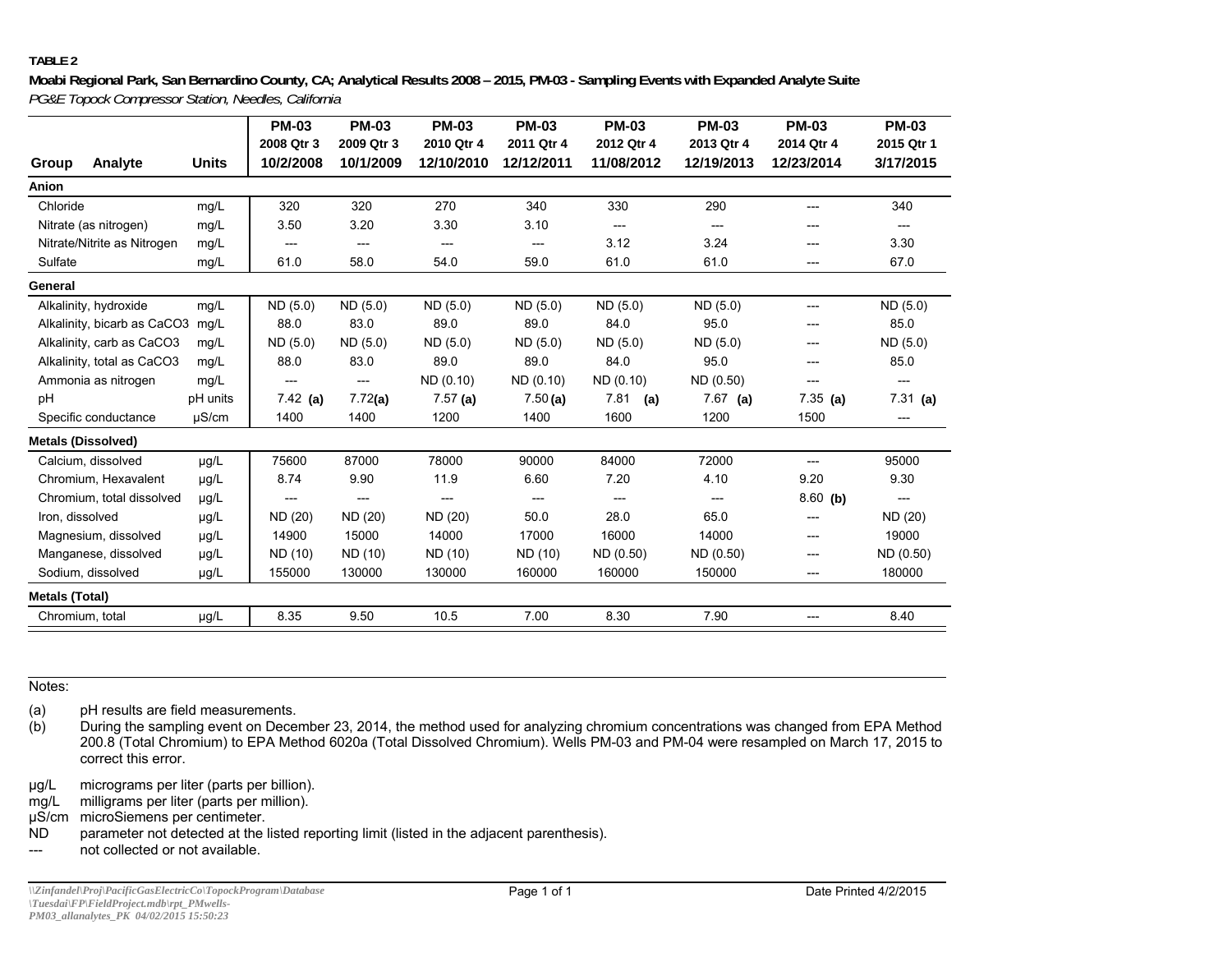## **TABLE 2**

**Moabi Regional Park, San Bernardino County, CA; Analytical Results 2008 – 2015, PM-03 - Sampling Events with Expanded Analyte Suite** *PG&E Topock Compressor Station, Needles, California*

|                             |              | <b>PM-03</b> | <b>PM-03</b> | <b>PM-03</b> | <b>PM-03</b> | <b>PM-03</b> | <b>PM-03</b>                        | <b>PM-03</b> | <b>PM-03</b> |
|-----------------------------|--------------|--------------|--------------|--------------|--------------|--------------|-------------------------------------|--------------|--------------|
|                             |              | 2008 Qtr 3   | 2009 Qtr 3   | 2010 Qtr 4   | 2011 Qtr 4   | 2012 Qtr 4   | 2013 Qtr 4                          | 2014 Qtr 4   | 2015 Qtr 1   |
| Group<br>Analyte            | <b>Units</b> | 10/2/2008    | 10/1/2009    | 12/10/2010   | 12/12/2011   | 11/08/2012   | 12/19/2013                          | 12/23/2014   | 3/17/2015    |
| Anion                       |              |              |              |              |              |              |                                     |              |              |
| Chloride                    | mg/L         | 320          | 320          | 270          | 340          | 330          | 290                                 | ---          | 340          |
| Nitrate (as nitrogen)       | mg/L         | 3.50         | 3.20         | 3.30         | 3.10         | $---$        | ---                                 | ---          | ---          |
| Nitrate/Nitrite as Nitrogen | mg/L         | ---          | $---$        | ---          | ---          | 3.12         | 3.24                                | ---          | 3.30         |
| Sulfate                     | mg/L         | 61.0         | 58.0         | 54.0         | 59.0         | 61.0         | 61.0                                | ---          | 67.0         |
| General                     |              |              |              |              |              |              |                                     |              |              |
| Alkalinity, hydroxide       | mg/L         | ND (5.0)     | ND (5.0)     | ND (5.0)     | ND (5.0)     | ND (5.0)     | ND (5.0)                            | ---          | ND(5.0)      |
| Alkalinity, bicarb as CaCO3 | mg/L         | 88.0         | 83.0         | 89.0         | 89.0         | 84.0         | 95.0                                | ---          | 85.0         |
| Alkalinity, carb as CaCO3   | mg/L         | ND (5.0)     | ND (5.0)     | ND (5.0)     | ND(5.0)      | ND(5.0)      | ND(5.0)                             | ---          | ND(5.0)      |
| Alkalinity, total as CaCO3  | mg/L         | 88.0         | 83.0         | 89.0         | 89.0         | 84.0         | 95.0                                | ---          | 85.0         |
| Ammonia as nitrogen         | mg/L         | $---$        | $---$        | ND (0.10)    | ND(0.10)     | ND (0.10)    | ND (0.50)                           | ---          | ---          |
| pH                          | pH units     | $7.42$ (a)   | 7.72(a)      | 7.57(a)      | 7.50(a)      | 7.81<br>(a)  | $7.67$ (a)                          | $7.35$ (a)   | $7.31$ (a)   |
| Specific conductance        | $\mu$ S/cm   | 1400         | 1400         | 1200         | 1400         | 1600         | 1200                                | 1500         | ---          |
| <b>Metals (Dissolved)</b>   |              |              |              |              |              |              |                                     |              |              |
| Calcium, dissolved          | µg/L         | 75600        | 87000        | 78000        | 90000        | 84000        | 72000                               | ---          | 95000        |
| Chromium, Hexavalent        | µg/L         | 8.74         | 9.90         | 11.9         | 6.60         | 7.20         | 4.10                                | 9.20         | 9.30         |
| Chromium, total dissolved   | $\mu$ g/L    | ---          | ---          | ---          | ---          | $---$        | $\hspace{0.05cm}---\hspace{0.05cm}$ | $8.60$ (b)   | ---          |
| Iron, dissolved             | µg/L         | ND (20)      | ND (20)      | ND (20)      | 50.0         | 28.0         | 65.0                                | ---          | ND (20)      |
| Magnesium, dissolved        | $\mu$ g/L    | 14900        | 15000        | 14000        | 17000        | 16000        | 14000                               | $---$        | 19000        |
| Manganese, dissolved        | $\mu$ g/L    | ND (10)      | ND (10)      | ND (10)      | ND (10)      | ND (0.50)    | ND (0.50)                           | ---          | ND (0.50)    |
| Sodium, dissolved           | $\mu$ g/L    | 155000       | 130000       | 130000       | 160000       | 160000       | 150000                              | ---          | 180000       |
| <b>Metals (Total)</b>       |              |              |              |              |              |              |                                     |              |              |
| Chromium. total             | $\mu$ g/L    | 8.35         | 9.50         | 10.5         | 7.00         | 8.30         | 7.90                                | ---          | 8.40         |

Notes:

pH results are field measurements. (a)

During the sampling event on December 23, 2014, the method used for analyzing chromium concentrations was changed from EPA Method 200.8 (Total Chromium) to EPA Method 6020a (Total Dissolved Chromium). Wells PM-03 and PM-04 were resampled on March 17, 2015 to correct this error. (b)

micrograms per liter (parts per billion). µg/L

milligrams per liter (parts per million). mg/L

µS/cm \_microSiemens per centimeter.

parameter not detected at the listed reporting limit (listed in the adjacent parenthesis). ND

not collected or not available. ---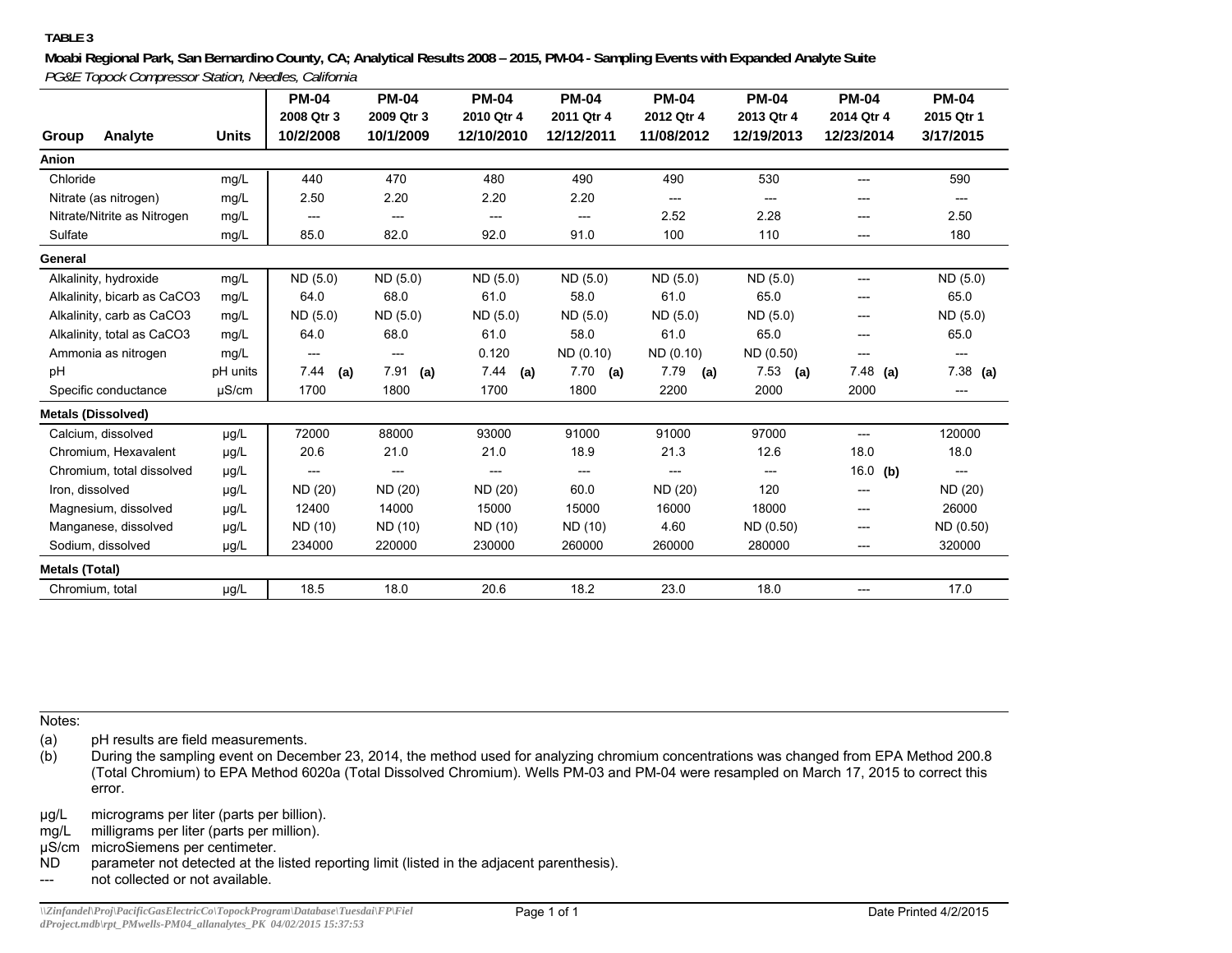## **TABLE 3**

**Moabi Regional Park, San Bernardino County, CA; Analytical Results 2008 – 2015, PM-04 - Sampling Events with Expanded Analyte Suite** *PG&E Topock Compressor Station, Needles, California*

|                             |              | <b>PM-04</b>            | <b>PM-04</b>            | <b>PM-04</b>             | <b>PM-04</b>             | <b>PM-04</b>                        | <b>PM-04</b>             | <b>PM-04</b>             | <b>PM-04</b>            |
|-----------------------------|--------------|-------------------------|-------------------------|--------------------------|--------------------------|-------------------------------------|--------------------------|--------------------------|-------------------------|
| Analyte<br>Group            | <b>Units</b> | 2008 Qtr 3<br>10/2/2008 | 2009 Qtr 3<br>10/1/2009 | 2010 Qtr 4<br>12/10/2010 | 2011 Qtr 4<br>12/12/2011 | 2012 Qtr 4<br>11/08/2012            | 2013 Qtr 4<br>12/19/2013 | 2014 Qtr 4<br>12/23/2014 | 2015 Qtr 1<br>3/17/2015 |
| Anion                       |              |                         |                         |                          |                          |                                     |                          |                          |                         |
| Chloride                    | mg/L         | 440                     | 470                     | 480                      | 490                      | 490                                 | 530                      | ---                      | 590                     |
| Nitrate (as nitrogen)       | mg/L         | 2.50                    | 2.20                    | 2.20                     | 2.20                     | $\hspace{0.05cm}---\hspace{0.05cm}$ | ---                      | ---                      | ---                     |
| Nitrate/Nitrite as Nitrogen | mg/L         | ---                     | ---                     | ---                      | ---                      | 2.52                                | 2.28                     | ---                      | 2.50                    |
| Sulfate                     | mg/L         | 85.0                    | 82.0                    | 92.0                     | 91.0                     | 100                                 | 110                      | ---                      | 180                     |
| General                     |              |                         |                         |                          |                          |                                     |                          |                          |                         |
| Alkalinity, hydroxide       | mg/L         | ND (5.0)                | ND(5.0)                 | ND(5.0)                  | ND(5.0)                  | ND(5.0)                             | ND(5.0)                  | ---                      | ND (5.0)                |
| Alkalinity, bicarb as CaCO3 | mg/L         | 64.0                    | 68.0                    | 61.0                     | 58.0                     | 61.0                                | 65.0                     | ---                      | 65.0                    |
| Alkalinity, carb as CaCO3   | mg/L         | ND(5.0)                 | ND(5.0)                 | ND(5.0)                  | ND(5.0)                  | ND(5.0)                             | ND(5.0)                  | ---                      | ND(5.0)                 |
| Alkalinity, total as CaCO3  | mg/L         | 64.0                    | 68.0                    | 61.0                     | 58.0                     | 61.0                                | 65.0                     | ---                      | 65.0                    |
| Ammonia as nitrogen         | mg/L         | ---                     | ---                     | 0.120                    | ND (0.10)                | ND (0.10)                           | ND (0.50)                | ---                      | ---                     |
| pH                          | pH units     | 7.44<br>(a)             | 7.91<br>(a)             | 7.44<br>(a)              | 7.70<br>(a)              | 7.79<br>(a)                         | 7.53<br>(a)              | $7.48$ (a)               | $7.38$ (a)              |
| Specific conductance        | µS/cm        | 1700                    | 1800                    | 1700                     | 1800                     | 2200                                | 2000                     | 2000                     | ---                     |
| <b>Metals (Dissolved)</b>   |              |                         |                         |                          |                          |                                     |                          |                          |                         |
| Calcium. dissolved          | $\mu$ g/L    | 72000                   | 88000                   | 93000                    | 91000                    | 91000                               | 97000                    | $---$                    | 120000                  |
| Chromium, Hexavalent        | $\mu$ g/L    | 20.6                    | 21.0                    | 21.0                     | 18.9                     | 21.3                                | 12.6                     | 18.0                     | 18.0                    |
| Chromium, total dissolved   | $\mu$ g/L    | ---                     | ---                     | ---                      | ---                      | ---                                 | ---                      | 16.0 (b)                 | ---                     |
| Iron, dissolved             | $\mu$ g/L    | ND (20)                 | ND (20)                 | ND (20)                  | 60.0                     | ND (20)                             | 120                      | ---                      | ND (20)                 |
| Magnesium, dissolved        | $\mu$ g/L    | 12400                   | 14000                   | 15000                    | 15000                    | 16000                               | 18000                    | ---                      | 26000                   |
| Manganese, dissolved        | $\mu$ g/L    | ND (10)                 | ND (10)                 | ND (10)                  | ND (10)                  | 4.60                                | ND (0.50)                | ---                      | ND (0.50)               |
| Sodium, dissolved           | µg/L         | 234000                  | 220000                  | 230000                   | 260000                   | 260000                              | 280000                   | ---                      | 320000                  |
| <b>Metals (Total)</b>       |              |                         |                         |                          |                          |                                     |                          |                          |                         |
| Chromium, total             | µg/L         | 18.5                    | 18.0                    | 20.6                     | 18.2                     | 23.0                                | 18.0                     | ---                      | 17.0                    |

Notes:

pH results are field measurements. (a)

During the sampling event on December 23, 2014, the method used for analyzing chromium concentrations was changed from EPA Method 200.8 (Total Chromium) to EPA Method 6020a (Total Dissolved Chromium). Wells PM-03 and PM-04 were resampled on March 17, 2015 to correct this error. (b)

µg/L micrograms per liter (parts per billion).

mg/L milligrams per liter (parts per million).

µS/cm microSiemens per centimeter.

NDparameter not detected at the listed reporting limit (listed in the adjacent parenthesis).

--not collected or not available.